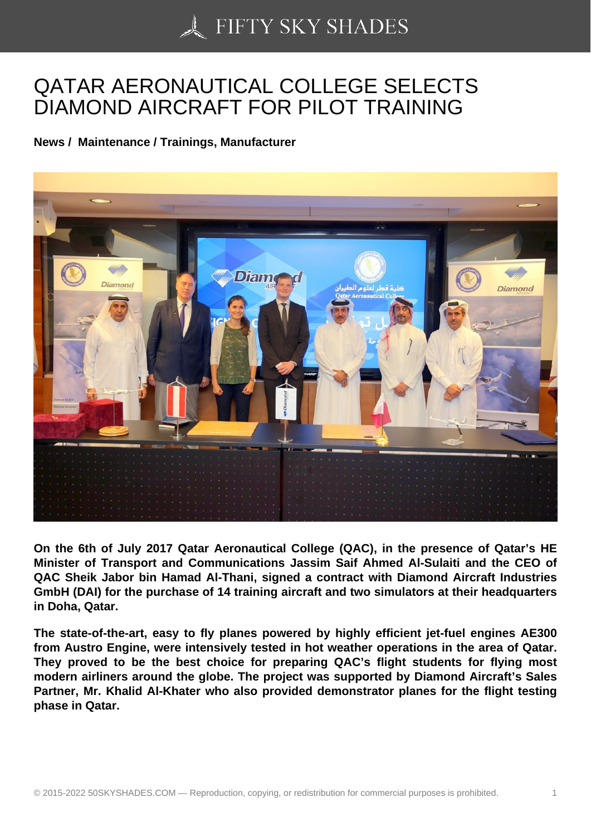## [QATAR AERONAUTIC](https://50skyshades.com)AL COLLEGE SELECTS DIAMOND AIRCRAFT FOR PILOT TRAINING

News / Maintenance / Trainings, Manufacturer

On the 6th of July 2017 Qatar Aeronautical College (QAC), in the presence of Qatar's HE Minister of Transport and Communications Jassim Saif Ahmed Al-Sulaiti and the CEO of QAC Sheik Jabor bin Hamad Al-Thani, signed a contract with Diamond Aircraft Industries GmbH (DAI) for the purchase of 14 training aircraft and two simulators at their headquarters in Doha, Qatar.

The state-of-the-art, easy to fly planes powered by highly efficient jet-fuel engines AE300 from Austro Engine, were intensively tested in hot weather operations in the area of Qatar. They proved to be the best choice for preparing QAC's flight students for flying most modern airliners around the globe. The project was supported by Diamond Aircraft's Sales Partner, Mr. Khalid Al-Khater who also provided demonstrator planes for the flight testing phase in Qatar.